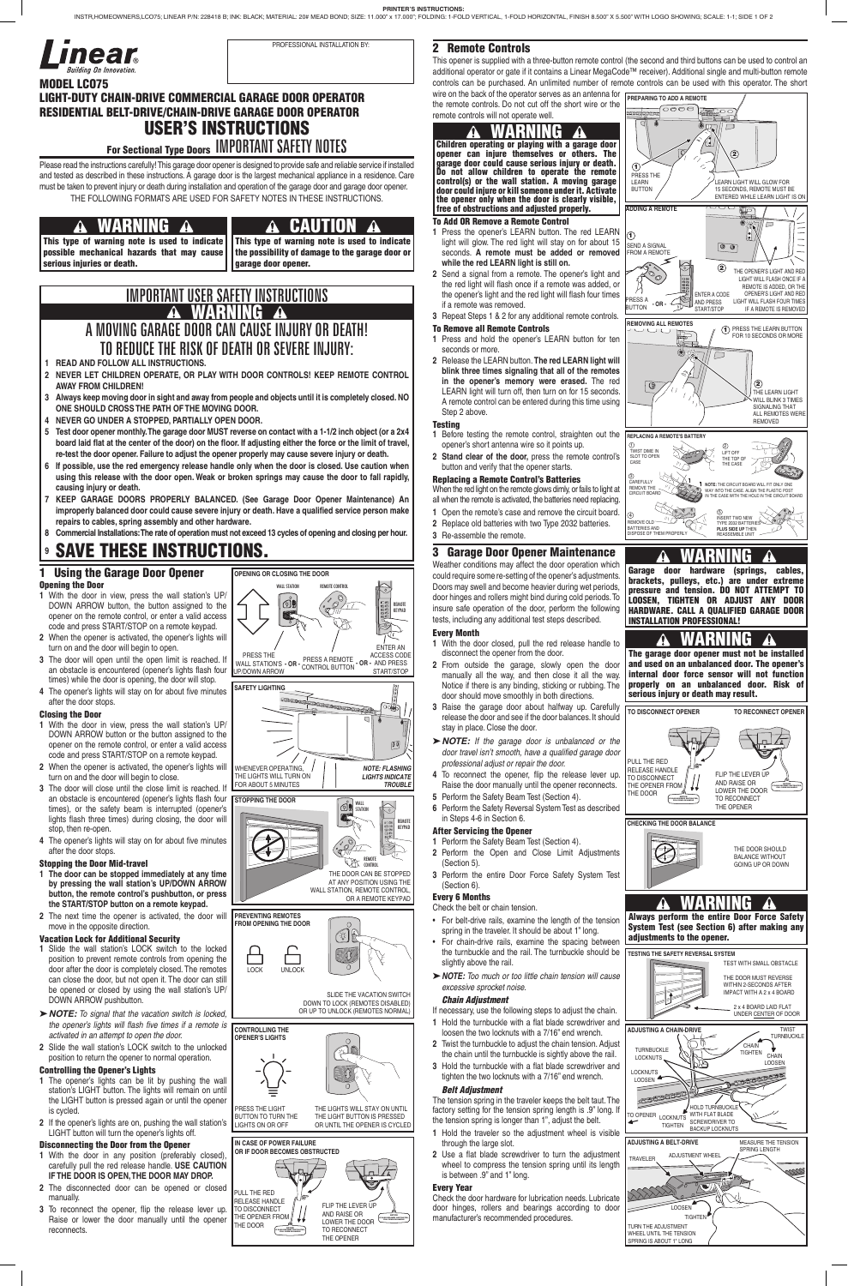### 2 Remote Controls

This opener is supplied with a three-button remote control (the second and third buttons can be used to control an additional operator or gate if it contains a Linear MegaCode™ receiver). Additional single and multi-button remote controls can be purchased. An unlimited number of remote controls can be used with this operator. The short wire on the back of the operator serves as an antenna for

the remote controls. Do not cut off the short wire or the remote controls will not operate well.

### To Add OR Remove a Remote Control

- **1** Press the opener's LEARN button. The red LEARN light will glow. The red light will stay on for about 15 seconds. **A remote must be added or removed while the red LEARN light is still on.**
- **2** Send a signal from a remote. The opener's light and the red light will flash once if a remote was added, or the opener's light and the red light will flash four times if a remote was removed.
- **3** Repeat Steps 1 & 2 for any additional remote controls.

### To Remove all Remote Controls

- **1** Press and hold the opener's LEARN button for ten seconds or more.
- **2** Release the LEARN button. **The red LEARN light will blink three times signaling that all of the remotes in the opener's memory were erased.** The red LEARN light will turn off, then turn on for 15 seconds. A remote control can be entered during this time using Step 2 above.

### **Testing**

- **1** Before testing the remote control, straighten out the opener's short antenna wire so it points up.
- **2 Stand clear of the door,** press the remote control's button and verify that the opener starts.

### Replacing a Remote Control's Batteries

- When the red light on the remote glows dimly, or fails to light at
- all when the remote is activated, the batteries need replacing.
- **1** Open the remote's case and remove the circuit board.
- **2** Replace old batteries with two Type 2032 batteries.
- **3** Re-assemble the remote.

### 3 Garage Door Opener Maintenance

Weather conditions may affect the door operation which could require some re-setting of the opener's adjustments. Doors may swell and become heavier during wet periods, door hinges and rollers might bind during cold periods. To insure safe operation of the door, perform the following tests, including any additional test steps described.

### Every Month

Please read the instructions carefully! This garage door opener is designed to provide safe and reliable service if installed and tested as described in these instructions. A garage door is the largest mechanical appliance in a residence. Care must be taken to prevent injury or death during installation and operation of the garage door and garage door opener. THE FOLLOWING FORMATS ARE USED FOR SAFETY NOTES IN THESE INSTRUCTIONS.

- **1** With the door closed, pull the red release handle to disconnect the opener from the door.
- **2** From outside the garage, slowly open the door manually all the way, and then close it all the way. Notice if there is any binding, sticking or rubbing. The door should move smoothly in both directions.
- **3** Raise the garage door about halfway up. Carefully release the door and see if the door balances. It should stay in place. Close the door.
- � *NOTE: If the garage door is unbalanced or the door travel isn't smooth, have a qualified garage door professional adjust or repair the door.*
- **4** To reconnect the opener, flip the release lever up. Raise the door manually until the opener reconnects.
- **5** Perform the Safety Beam Test (Section 4).
- **6** Perform the Safety Reversal System Test as described in Steps 4-6 in Section 6.

### After Servicing the Opener

- **1** Perform the Safety Beam Test (Section 4). **2** Perform the Open and Close Limit Adjustments (Section 5).
- **3** Perform the entire Door Force Safety System Test (Section 6).

### Every 6 Months

### Check the belt or chain tension.

- For chain-drive rails, examine the spacing between the turnbuckle and the rail. The turnbuckle should be slightly above the rail.
- ▶ NOTE: Too much or too little chain tension will cause *excessive sprocket noise.*

### *Chain Adjustment*

If necessary, use the following steps to adjust the chain.

- **1** Hold the turnbuckle with a flat blade screwdriver and loosen the two locknuts with a 7/16" end wrench.
- **2** Twist the turnbuckle to adjust the chain tension. Adjust the chain until the turnbuckle is sightly above the rail.
- **3** Hold the turnbuckle with a flat blade screwdriver and tighten the two locknuts with a 7/16" end wrench.

### *Belt Adjustment*

- **1 READ AND FOLLOW ALL INSTRUCTIONS.**
- **2 NEVER LET CHILDREN OPERATE, OR PLAY WITH DOOR CONTROLS! KEEP REMOTE CONTROL AWAY FROM CHILDREN!**
- **3 Always keep moving door in sight and away from people and objects until it is completely closed. NO ONE SHOULD CROSS THE PATH OF THE MOVING DOOR.**
- **4 NEVER GO UNDER A STOPPED, PARTIALLY OPEN DOOR.**
- **5 Test door opener monthly. The garage door MUST reverse on contact with a 1-1/2 inch object (or a 2x4 board laid flat at the center of the door) on the floor. If adjusting either the force or the limit of travel, re-test the door opener. Failure to adjust the opener properly may cause severe injury or death.**
- **6 If possible, use the red emergency release handle only when the door is closed. Use caution when using this release with the door open. Weak or broken springs may cause the door to fall rapidly, causing injury or death.**
- **7 KEEP GARAGE DOORS PROPERLY BALANCED. (See Garage Door Opener Maintenance) An improperly balanced door could cause severe injury or death. Have a qualified service person make**  repairs to cables, spring assembly and other hardware.
- 8 Commercial Installations: The rate of operation must not exceed 13 cycles of opening and closing per hour.

The tension spring in the traveler keeps the belt taut. The factory setting for the tension spring length is .9" long. If the tension spring is longer than 1", adjust the belt.

- **1** Hold the traveler so the adjustment wheel is visible through the large slot.
- **2** Use a flat blade screwdriver to turn the adjustment wheel to compress the tension spring until its length is between .9" and 1" long.

### Every Year

Check the door hardware for lubrication needs. Lubricate door hinges, rollers and bearings according to door manufacturer's recommended procedures.

## MODEL LCO75 LIGHT-DUTY CHAIN-DRIVE COMMERCIAL GARAGE DOOR OPERATOR RESIDENTIAL BELT-DRIVE/CHAIN-DRIVE GARAGE DOOR OPERATOR USER'S INSTRUCTIONS For Sectional Type Doors IMPORTANT SAFETY NOTES

This type of warning note is used to indicate the possibility of damage to the garage door or garage door opener.

### 1 Using the Garage Door Opener Opening the Door

### WARNING A

- **1** With the door in view, press the wall station's UP/ DOWN ARROW button, the button assigned to the opener on the remote control, or enter a valid access code and press START/STOP on a remote keypad.
- **2** When the opener is activated, the opener's lights will turn on and the door will begin to open.
- **3** The door will open until the open limit is reached. If an obstacle is encountered (opener's lights flash four times) while the door is opening, the door will stop.
- **4** The opener's lights will stay on for about five minutes after the door stops.

### Closing the Door

- **1** With the door in view, press the wall station's UP/ DOWN ARROW button or the button assigned to the opener on the remote control, or enter a valid access code and press START/STOP on a remote keypad.
- **2** When the opener is activated, the opener's lights will turn on and the door will begin to close.
- **3** The door will close until the close limit is reached. If an obstacle is encountered (opener's lights flash four times), or the safety beam is interrupted (opener's lights flash three times) during closing, the door will stop, then re-open.
- **4** The opener's lights will stay on for about five minutes after the door stops.

SLIDE THE VACATION SWITCH DOWN TO LOCK (REMOTES DISABLED) OR UP TO UNLOCK (REMOTES NORMAL)

- For belt-drive rails, examine the length of the tension spring in the traveler. It should be about 1" long.
- **PREPARING TO ADD A REMOTE**  $\overline{\circ}$  $\overline{\mathbb{R}}$ (1  $\widehat{\mathbf{2}}$  $\odot$ PRESS THE LEARN LEARN LIGHT WILL GLOW FOR **BUTTON** 15 SECONDS, REMOTE MUST BE ENTERED WHILE LEARN LIGHT IS O **ADDING A REMOTE**  $\overline{\phantom{a}}$  $\overline{\mathbb{R}^n}$  $\odot$ SEND A SIGNAL  $\circledcirc$ FROM A REMOTE  $\circledR$ THE OPENER'S LIGHT AND RED LIGHT WILL FLASH ONCE IF REMOTE IS ADDED, OR THE ENTER A CODE OPENER'S LIGHT AND RED RESS<sub>A</sub> AND PRESS LIGHT WILL FLASH FOUR TIMES BUTTON **- OR -** IF A REMOTE IS REMOVED START/STOP **REMOVING ALL REMOTES** PRESS THE LEARN BUTTON FOR 10 SECONDS OR MORE 1  $\mathcal{P}_{\infty}$  $\Box$ ≅⊿  $\circledcirc$  $\boxed{\textcircled{\tiny{\textcirc}}}$ THE LEARN LIGHT WILL BLINK 3 TIMES SIGNALING THAT **ALL REMOTES WERE** REMOVED **REPLACING A**  $Q$ 2 TWIST DIME IN SLOT TO OPEN LIFT OFF THE TOP OF **CASE** THE CASE 3 CAREFULLY **NOTE:** THE CIRCUIT BOARD WILL FIT ONLY ONE REMOVE THE WAY INTO THE CASE. ALIGN THE PLASTIC POST IN THE CASE WITH THE HOLE IN THE CIRCUIT BOARD CIRCUIT BOARD  $\overline{a}$ 5 INSERT TWO NEW REMOVE OLD TYPE 2032 BATTERIES **PLUS SIDE UP** THEN BATTERIES AND REASSEMBLE UNIT DISPOSE OF THEM PROPERLY **WARNING**<br>door hardware (sprin Garage door hardware (springs, cables, brackets, pulleys, etc.) are under extreme pressure and tension. DO NOT ATTEMPT TO LOOSEN, TIGHTEN OR ADJUST ANY DOOR HARDWARE. CALL A QUALIFIED GARAGE DOOR INSTALLATION PROFESSIONAL! WARNING 71 ZŢ The garage door opener must not be installed and used on an unbalanced door. The opener's internal door force sensor will not function properly on an unbalanced door. Risk of serious injury or death may result. **TO DISCONNECT OPENER TO RECONNECT OPENER** PULL THE RED RELEASE HANDLE FLIP THE LEVER UP TO DISCONNECT AND RAISE OR LOWER THE DOOR THE OPENER FROM NOTICE THE DOOR TO RECONNECT NOTICE IF DOOR BECOMES OBSTRUCTED, THE OPENER **CHECKING THE DOOR BALANCE** THE DOOR SHOULD BALANCE WITHOUT GOING UP OR DOWN

### Stopping the Door Mid-travel

- **1 The door can be stopped immediately at any time by pressing the wall station's UP/DOWN ARROW button, the remote control's pushbutton, or press the START/STOP button on a remote keypad.**
- **2** The next time the opener is activated, the door will move in the opposite direction.

### Vacation Lock for Additional Security

- **1** Slide the wall station's LOCK switch to the locked position to prevent remote controls from opening the door after the door is completely closed. The remotes can close the door, but not open it. The door can still be opened or closed by using the wall station's UP/ DOWN ARROW pushbutton.
- ▶ **NOTE:** To signal that the vacation switch is locked, *the opener's lights will flash five times if a remote is activated in an attempt to open the door.*
- **2** Slide the wall station's LOCK switch to the unlocked position to return the opener to normal operation.

### Controlling the Opener's Lights

- **1** The opener's lights can be lit by pushing the wall station's LIGHT button. The lights will remain on until the LIGHT button is pressed again or until the opener is cycled.
- **2** If the opener's lights are on, pushing the wall station's LIGHT button will turn the opener's lights off.

### Disconnecting the Door from the Opener

- **1** With the door in any position (preferably closed), carefully pull the red release handle. **USE CAUTION IF THE DOOR IS OPEN, THE DOOR MAY DROP.**
- **2** The disconnected door can be opened or closed manually.
- **3** To reconnect the opener, flip the release lever up. Raise or lower the door manually until the opener reconnects.

## IMPORTANT USER SAFETY INSTRUCTIONS **A WARNING A** A MOVING GARAGE DOOR CAN CAUSE INJURY OR DEATH! TO REDUCE THE RISK OF DEATH OR SEVERE INJURY:

## **<sup>9</sup>** SAVE THESE INSTRUCTIONS.

## WARNING

This type of warning note is used to indicate possible mechanical hazards that may cause serious injuries or death.

## CAUTION

## WARNING

Always perform the entire Door Force Safety System Test (see Section 6) after making any



### adjustments to the opener.

Children operating or playing with a garage door opener can injure themselves or others. The garage door could cause serious injury or death. Do not allow children to operate the remote control(s) or the wall station. A moving garage door could injure or kill someone under it. Activate the opener only when the door is clearly visible, free of obstructions and adjusted properly.

# **OPENING OR CLOSING THE DOOR**



 $\boxed{0}$ WHENEVER OPERATING, *NOTE: FLASHING*





AT ANY POSITION USING THE WALL STATION, REMOTE CONTROL, OR A REMOTE KEYPAD



**PREVENTING REMOTES FROM OPENING THE DOOR**

**CONTROLLING THE OPENER'S LIGHTS**

PRESS THE LIGHT . . .⊑so …⊑ ⊒.c.…<br>BUTTON TO TURN THE LIGHTS ON OR OFF

THE LIGHTS WILL STAY ON UNTIL THE LIGHT BUTTON IS PRESSED OR UNTIL THE OPENER IS CYCLED



### **IN CASE OF POWER FAILURE OR IF DOOR BECOMES OBSTRUCTED**



THE DOOR



PROFESSIONAL INSTALLATION BY: